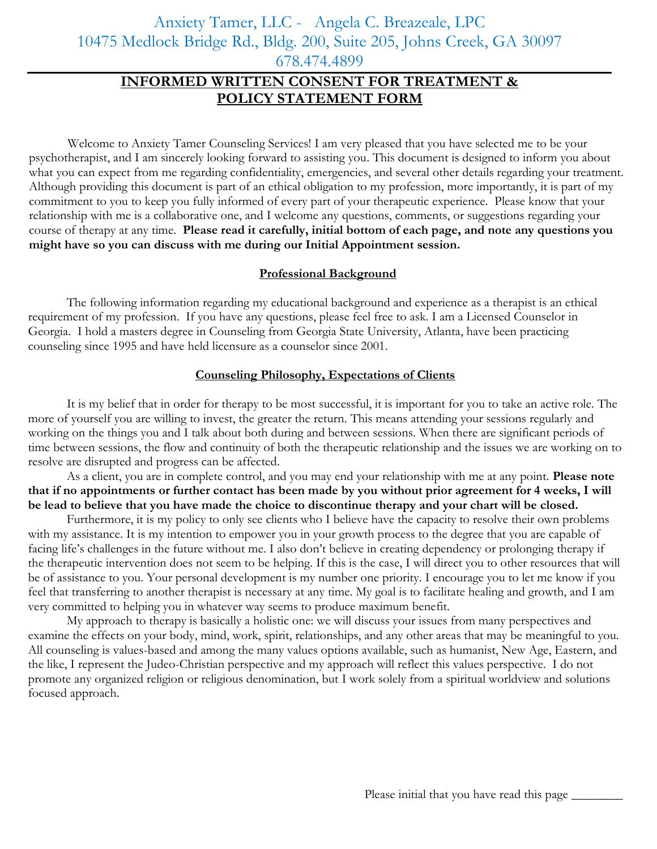Anxiety Tamer, LLC - Angela C. Breazeale, LPC 10475 Medlock Bridge Rd., Bldg. 200, Suite 205, Johns Creek, GA 30097 678.474.4899

# **INFORMED WRITTEN CONSENT FOR TREATMENT & POLICY STATEMENT FORM**

Welcome to Anxiety Tamer Counseling Services! I am very pleased that you have selected me to be your psychotherapist, and I am sincerely looking forward to assisting you. This document is designed to inform you about what you can expect from me regarding confidentiality, emergencies, and several other details regarding your treatment. Although providing this document is part of an ethical obligation to my profession, more importantly, it is part of my commitment to you to keep you fully informed of every part of your therapeutic experience. Please know that your relationship with me is a collaborative one, and I welcome any questions, comments, or suggestions regarding your course of therapy at any time. **Please read it carefully, initial bottom of each page, and note any questions you might have so you can discuss with me during our Initial Appointment session.** 

## **Professional Background**

The following information regarding my educational background and experience as a therapist is an ethical requirement of my profession. If you have any questions, please feel free to ask. I am a Licensed Counselor in Georgia. I hold a masters degree in Counseling from Georgia State University, Atlanta, have been practicing counseling since 1995 and have held licensure as a counselor since 2001.

## **Counseling Philosophy, Expectations of Clients**

It is my belief that in order for therapy to be most successful, it is important for you to take an active role. The more of yourself you are willing to invest, the greater the return. This means attending your sessions regularly and working on the things you and I talk about both during and between sessions. When there are significant periods of time between sessions, the flow and continuity of both the therapeutic relationship and the issues we are working on to resolve are disrupted and progress can be affected.

As a client, you are in complete control, and you may end your relationship with me at any point. **Please note that if no appointments or further contact has been made by you without prior agreement for 4 weeks, I will be lead to believe that you have made the choice to discontinue therapy and your chart will be closed.**

Furthermore, it is my policy to only see clients who I believe have the capacity to resolve their own problems with my assistance. It is my intention to empower you in your growth process to the degree that you are capable of facing life's challenges in the future without me. I also don't believe in creating dependency or prolonging therapy if the therapeutic intervention does not seem to be helping. If this is the case, I will direct you to other resources that will be of assistance to you. Your personal development is my number one priority. I encourage you to let me know if you feel that transferring to another therapist is necessary at any time. My goal is to facilitate healing and growth, and I am very committed to helping you in whatever way seems to produce maximum benefit.

My approach to therapy is basically a holistic one: we will discuss your issues from many perspectives and examine the effects on your body, mind, work, spirit, relationships, and any other areas that may be meaningful to you. All counseling is values-based and among the many values options available, such as humanist, New Age, Eastern, and the like, I represent the Judeo-Christian perspective and my approach will reflect this values perspective. I do not promote any organized religion or religious denomination, but I work solely from a spiritual worldview and solutions focused approach.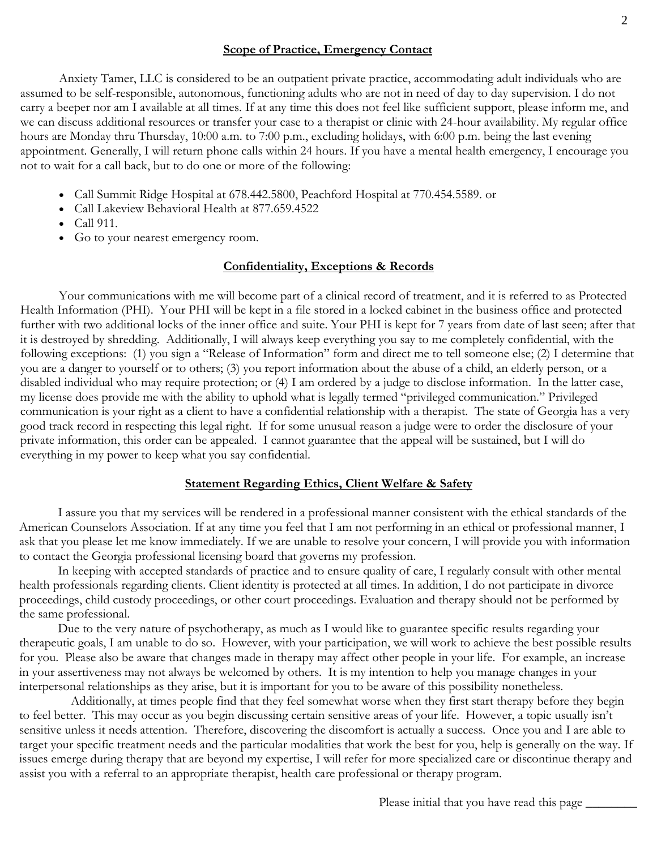# **Scope of Practice, Emergency Contact**

Anxiety Tamer, LLC is considered to be an outpatient private practice, accommodating adult individuals who are assumed to be self-responsible, autonomous, functioning adults who are not in need of day to day supervision. I do not carry a beeper nor am I available at all times. If at any time this does not feel like sufficient support, please inform me, and we can discuss additional resources or transfer your case to a therapist or clinic with 24-hour availability. My regular office hours are Monday thru Thursday, 10:00 a.m. to 7:00 p.m., excluding holidays, with 6:00 p.m. being the last evening appointment. Generally, I will return phone calls within 24 hours. If you have a mental health emergency, I encourage you not to wait for a call back, but to do one or more of the following:

- Call Summit Ridge Hospital at 678.442.5800, Peachford Hospital at 770.454.5589. or
- Call Lakeview Behavioral Health at 877.659.4522
- Call 911.
- Go to your nearest emergency room.

# **Confidentiality, Exceptions & Records**

Your communications with me will become part of a clinical record of treatment, and it is referred to as Protected Health Information (PHI). Your PHI will be kept in a file stored in a locked cabinet in the business office and protected further with two additional locks of the inner office and suite. Your PHI is kept for 7 years from date of last seen; after that it is destroyed by shredding. Additionally, I will always keep everything you say to me completely confidential, with the following exceptions: (1) you sign a "Release of Information" form and direct me to tell someone else; (2) I determine that you are a danger to yourself or to others; (3) you report information about the abuse of a child, an elderly person, or a disabled individual who may require protection; or (4) I am ordered by a judge to disclose information. In the latter case, my license does provide me with the ability to uphold what is legally termed "privileged communication." Privileged communication is your right as a client to have a confidential relationship with a therapist. The state of Georgia has a very good track record in respecting this legal right. If for some unusual reason a judge were to order the disclosure of your private information, this order can be appealed. I cannot guarantee that the appeal will be sustained, but I will do everything in my power to keep what you say confidential.

# **Statement Regarding Ethics, Client Welfare & Safety**

I assure you that my services will be rendered in a professional manner consistent with the ethical standards of the American Counselors Association. If at any time you feel that I am not performing in an ethical or professional manner, I ask that you please let me know immediately. If we are unable to resolve your concern, I will provide you with information to contact the Georgia professional licensing board that governs my profession.

In keeping with accepted standards of practice and to ensure quality of care, I regularly consult with other mental health professionals regarding clients. Client identity is protected at all times. In addition, I do not participate in divorce proceedings, child custody proceedings, or other court proceedings. Evaluation and therapy should not be performed by the same professional.

Due to the very nature of psychotherapy, as much as I would like to guarantee specific results regarding your therapeutic goals, I am unable to do so. However, with your participation, we will work to achieve the best possible results for you. Please also be aware that changes made in therapy may affect other people in your life. For example, an increase in your assertiveness may not always be welcomed by others. It is my intention to help you manage changes in your interpersonal relationships as they arise, but it is important for you to be aware of this possibility nonetheless.

 Additionally, at times people find that they feel somewhat worse when they first start therapy before they begin to feel better. This may occur as you begin discussing certain sensitive areas of your life. However, a topic usually isn't sensitive unless it needs attention. Therefore, discovering the discomfort is actually a success. Once you and I are able to target your specific treatment needs and the particular modalities that work the best for you, help is generally on the way. If issues emerge during therapy that are beyond my expertise, I will refer for more specialized care or discontinue therapy and assist you with a referral to an appropriate therapist, health care professional or therapy program.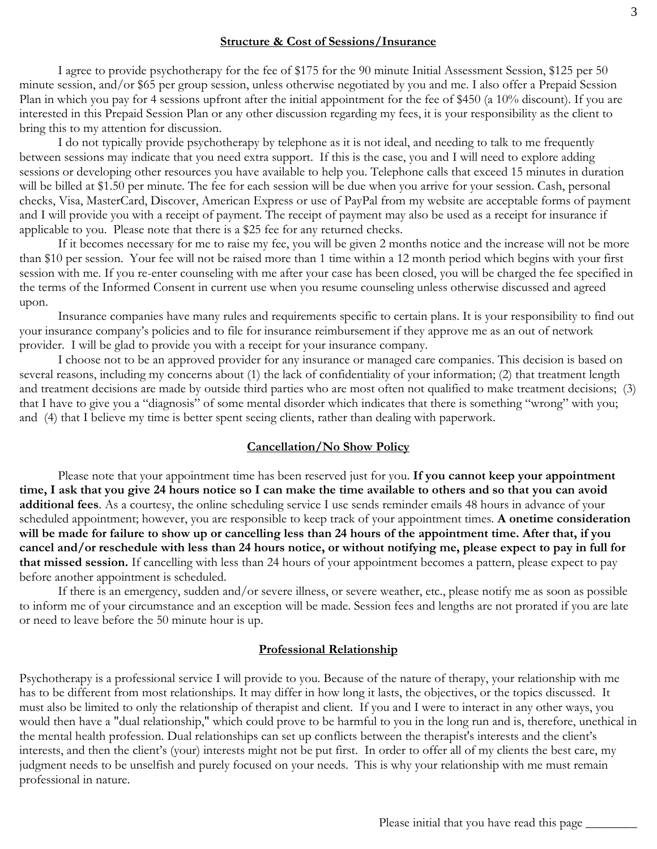## **Structure & Cost of Sessions/Insurance**

I agree to provide psychotherapy for the fee of \$175 for the 90 minute Initial Assessment Session, \$125 per 50 minute session, and/or \$65 per group session, unless otherwise negotiated by you and me. I also offer a Prepaid Session Plan in which you pay for 4 sessions upfront after the initial appointment for the fee of \$450 (a 10% discount). If you are interested in this Prepaid Session Plan or any other discussion regarding my fees, it is your responsibility as the client to bring this to my attention for discussion.

I do not typically provide psychotherapy by telephone as it is not ideal, and needing to talk to me frequently between sessions may indicate that you need extra support. If this is the case, you and I will need to explore adding sessions or developing other resources you have available to help you. Telephone calls that exceed 15 minutes in duration will be billed at \$1.50 per minute. The fee for each session will be due when you arrive for your session. Cash, personal checks, Visa, MasterCard, Discover, American Express or use of PayPal from my website are acceptable forms of payment and I will provide you with a receipt of payment. The receipt of payment may also be used as a receipt for insurance if applicable to you. Please note that there is a \$25 fee for any returned checks.

If it becomes necessary for me to raise my fee, you will be given 2 months notice and the increase will not be more than \$10 per session. Your fee will not be raised more than 1 time within a 12 month period which begins with your first session with me. If you re-enter counseling with me after your case has been closed, you will be charged the fee specified in the terms of the Informed Consent in current use when you resume counseling unless otherwise discussed and agreed upon.

Insurance companies have many rules and requirements specific to certain plans. It is your responsibility to find out your insurance company's policies and to file for insurance reimbursement if they approve me as an out of network provider. I will be glad to provide you with a receipt for your insurance company.

I choose not to be an approved provider for any insurance or managed care companies. This decision is based on several reasons, including my concerns about (1) the lack of confidentiality of your information; (2) that treatment length and treatment decisions are made by outside third parties who are most often not qualified to make treatment decisions; (3) that I have to give you a "diagnosis" of some mental disorder which indicates that there is something "wrong" with you; and (4) that I believe my time is better spent seeing clients, rather than dealing with paperwork.

## **Cancellation/No Show Policy**

Please note that your appointment time has been reserved just for you. **If you cannot keep your appointment time, I ask that you give 24 hours notice so I can make the time available to others and so that you can avoid additional fees**. As a courtesy, the online scheduling service I use sends reminder emails 48 hours in advance of your scheduled appointment; however, you are responsible to keep track of your appointment times. **A onetime consideration will be made for failure to show up or cancelling less than 24 hours of the appointment time. After that, if you cancel and/or reschedule with less than 24 hours notice, or without notifying me, please expect to pay in full for that missed session.** If cancelling with less than 24 hours of your appointment becomes a pattern, please expect to pay before another appointment is scheduled.

If there is an emergency, sudden and/or severe illness, or severe weather, etc., please notify me as soon as possible to inform me of your circumstance and an exception will be made. Session fees and lengths are not prorated if you are late or need to leave before the 50 minute hour is up.

#### **Professional Relationship**

Psychotherapy is a professional service I will provide to you. Because of the nature of therapy, your relationship with me has to be different from most relationships. It may differ in how long it lasts, the objectives, or the topics discussed. It must also be limited to only the relationship of therapist and client. If you and I were to interact in any other ways, you would then have a "dual relationship," which could prove to be harmful to you in the long run and is, therefore, unethical in the mental health profession. Dual relationships can set up conflicts between the therapist's interests and the client's interests, and then the client's (your) interests might not be put first. In order to offer all of my clients the best care, my judgment needs to be unselfish and purely focused on your needs. This is why your relationship with me must remain professional in nature.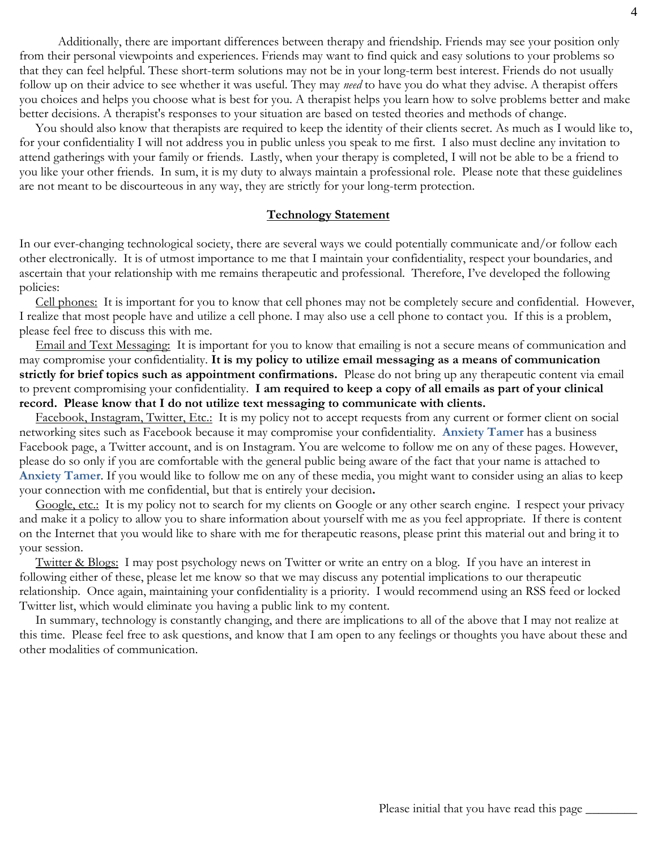Additionally, there are important differences between therapy and friendship. Friends may see your position only from their personal viewpoints and experiences. Friends may want to find quick and easy solutions to your problems so that they can feel helpful. These short-term solutions may not be in your long-term best interest. Friends do not usually follow up on their advice to see whether it was useful. They may *need* to have you do what they advise. A therapist offers you choices and helps you choose what is best for you. A therapist helps you learn how to solve problems better and make better decisions. A therapist's responses to your situation are based on tested theories and methods of change.

 You should also know that therapists are required to keep the identity of their clients secret. As much as I would like to, for your confidentiality I will not address you in public unless you speak to me first. I also must decline any invitation to attend gatherings with your family or friends. Lastly, when your therapy is completed, I will not be able to be a friend to you like your other friends. In sum, it is my duty to always maintain a professional role. Please note that these guidelines are not meant to be discourteous in any way, they are strictly for your long-term protection.

#### **Technology Statement**

In our ever-changing technological society, there are several ways we could potentially communicate and/or follow each other electronically. It is of utmost importance to me that I maintain your confidentiality, respect your boundaries, and ascertain that your relationship with me remains therapeutic and professional. Therefore, I've developed the following policies:

 Cell phones: It is important for you to know that cell phones may not be completely secure and confidential. However, I realize that most people have and utilize a cell phone. I may also use a cell phone to contact you. If this is a problem, please feel free to discuss this with me.

 Email and Text Messaging: It is important for you to know that emailing is not a secure means of communication and may compromise your confidentiality. **It is my policy to utilize email messaging as a means of communication strictly for brief topics such as appointment confirmations.** Please do not bring up any therapeutic content via email to prevent compromising your confidentiality. **I am required to keep a copy of all emails as part of your clinical record. Please know that I do not utilize text messaging to communicate with clients.**

 Facebook, Instagram, Twitter, Etc.: It is my policy not to accept requests from any current or former client on social networking sites such as Facebook because it may compromise your confidentiality. **Anxiety Tamer** has a business Facebook page, a Twitter account, and is on Instagram. You are welcome to follow me on any of these pages. However, please do so only if you are comfortable with the general public being aware of the fact that your name is attached to **Anxiety Tamer**. If you would like to follow me on any of these media, you might want to consider using an alias to keep your connection with me confidential, but that is entirely your decision**.**

Google, etc.: It is my policy not to search for my clients on Google or any other search engine. I respect your privacy and make it a policy to allow you to share information about yourself with me as you feel appropriate. If there is content on the Internet that you would like to share with me for therapeutic reasons, please print this material out and bring it to your session.

 Twitter & Blogs: I may post psychology news on Twitter or write an entry on a blog. If you have an interest in following either of these, please let me know so that we may discuss any potential implications to our therapeutic relationship. Once again, maintaining your confidentiality is a priority. I would recommend using an RSS feed or locked Twitter list, which would eliminate you having a public link to my content.

 In summary, technology is constantly changing, and there are implications to all of the above that I may not realize at this time. Please feel free to ask questions, and know that I am open to any feelings or thoughts you have about these and other modalities of communication.